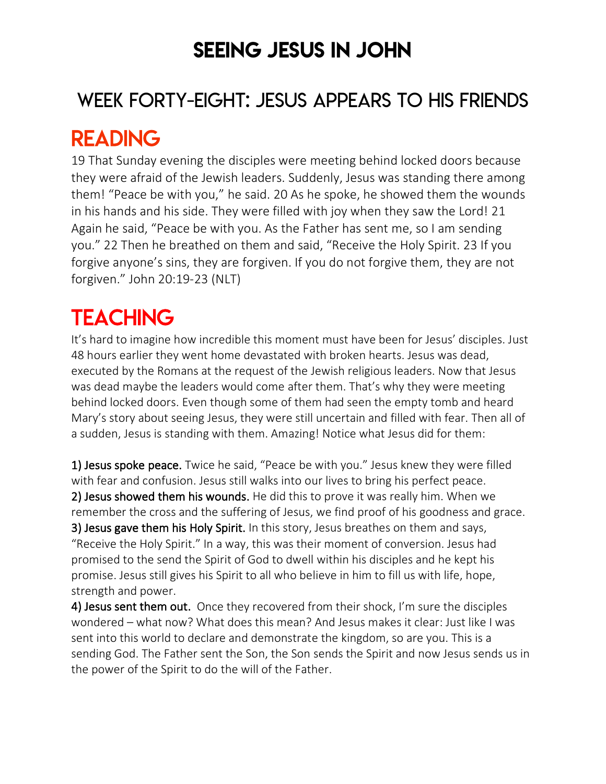## SEEING JESUS IN JOHN

### WEEK FORTY-EIGHT: JESUS APPEARS TO HIS FRIENDS

# READING

19 That Sunday evening the disciples were meeting behind locked doors because they were afraid of the Jewish leaders. Suddenly, Jesus was standing there among them! "Peace be with you," he said. 20 As he spoke, he showed them the wounds in his hands and his side. They were filled with joy when they saw the Lord! 21 Again he said, "Peace be with you. As the Father has sent me, so I am sending you." 22 Then he breathed on them and said, "Receive the Holy Spirit. 23 If you forgive anyone's sins, they are forgiven. If you do not forgive them, they are not forgiven." John 20:19-23 (NLT)

# **TEACHING**

It's hard to imagine how incredible this moment must have been for Jesus' disciples. Just 48 hours earlier they went home devastated with broken hearts. Jesus was dead, executed by the Romans at the request of the Jewish religious leaders. Now that Jesus was dead maybe the leaders would come after them. That's why they were meeting behind locked doors. Even though some of them had seen the empty tomb and heard Mary's story about seeing Jesus, they were still uncertain and filled with fear. Then all of a sudden, Jesus is standing with them. Amazing! Notice what Jesus did for them:

1) Jesus spoke peace. Twice he said, "Peace be with you." Jesus knew they were filled with fear and confusion. Jesus still walks into our lives to bring his perfect peace. 2) Jesus showed them his wounds. He did this to prove it was really him. When we remember the cross and the suffering of Jesus, we find proof of his goodness and grace. 3) Jesus gave them his Holy Spirit. In this story, Jesus breathes on them and says, "Receive the Holy Spirit." In a way, this was their moment of conversion. Jesus had promised to the send the Spirit of God to dwell within his disciples and he kept his promise. Jesus still gives his Spirit to all who believe in him to fill us with life, hope, strength and power.

4) Jesus sent them out. Once they recovered from their shock, I'm sure the disciples wondered – what now? What does this mean? And Jesus makes it clear: Just like I was sent into this world to declare and demonstrate the kingdom, so are you. This is a sending God. The Father sent the Son, the Son sends the Spirit and now Jesus sends us in the power of the Spirit to do the will of the Father.